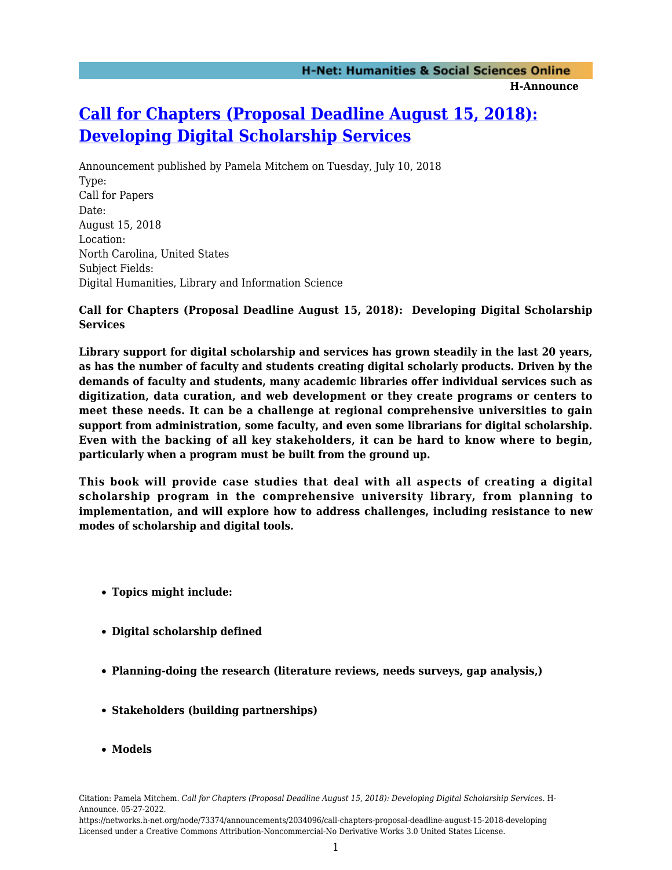# **[Call for Chapters \(Proposal Deadline August 15, 2018\):](https://networks.h-net.org/node/73374/announcements/2034096/call-chapters-proposal-deadline-august-15-2018-developing) [Developing Digital Scholarship Services](https://networks.h-net.org/node/73374/announcements/2034096/call-chapters-proposal-deadline-august-15-2018-developing)**

Announcement published by Pamela Mitchem on Tuesday, July 10, 2018 Type: Call for Papers Date: August 15, 2018 Location: North Carolina, United States Subject Fields: Digital Humanities, Library and Information Science

# **Call for Chapters (Proposal Deadline August 15, 2018): Developing Digital Scholarship Services**

**Library support for digital scholarship and services has grown steadily in the last 20 years, as has the number of faculty and students creating digital scholarly products. Driven by the demands of faculty and students, many academic libraries offer individual services such as digitization, data curation, and web development or they create programs or centers to meet these needs. It can be a challenge at regional comprehensive universities to gain support from administration, some faculty, and even some librarians for digital scholarship. Even with the backing of all key stakeholders, it can be hard to know where to begin, particularly when a program must be built from the ground up.**

**This book will provide case studies that deal with all aspects of creating a digital scholarship program in the comprehensive university library, from planning to implementation, and will explore how to address challenges, including resistance to new modes of scholarship and digital tools.**

- **Topics might include:**
- **Digital scholarship defined**
- **Planning-doing the research (literature reviews, needs surveys, gap analysis,)**
- **Stakeholders (building partnerships)**
- **Models**

https://networks.h-net.org/node/73374/announcements/2034096/call-chapters-proposal-deadline-august-15-2018-developing Licensed under a Creative Commons Attribution-Noncommercial-No Derivative Works 3.0 United States License.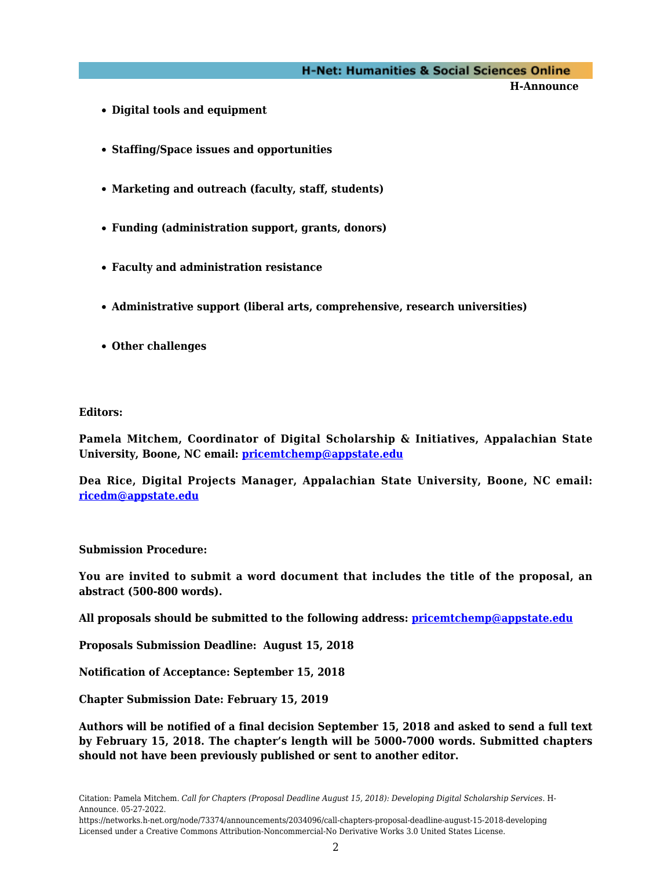## **H-Net: Humanities & Social Sciences Online**

**H-Announce** 

- **Digital tools and equipment**
- **Staffing/Space issues and opportunities**
- **Marketing and outreach (faculty, staff, students)**
- **Funding (administration support, grants, donors)**
- **Faculty and administration resistance**
- **Administrative support (liberal arts, comprehensive, research universities)**
- **Other challenges**

#### **Editors:**

**Pamela Mitchem, Coordinator of Digital Scholarship & Initiatives, Appalachian State University, Boone, NC email: [pricemtchemp@appstate.edu](mailto:pricemtchemp@appstate.edu)**

**Dea Rice, Digital Projects Manager, Appalachian State University, Boone, NC email: [ricedm@appstate.edu](mailto:ricedm@appstate.edu)**

## **Submission Procedure:**

**You are invited to submit a word document that includes the title of the proposal, an abstract (500-800 words).**

**All proposals should be submitted to the following address: [pricemtchemp@appstate.edu](mailto:pricemtchemp@appstate.edu)**

**Proposals Submission Deadline: August 15, 2018**

**Notification of Acceptance: September 15, 2018**

**Chapter Submission Date: February 15, 2019**

**Authors will be notified of a final decision September 15, 2018 and asked to send a full text by February 15, 2018. The chapter's length will be 5000-7000 words. Submitted chapters should not have been previously published or sent to another editor.**